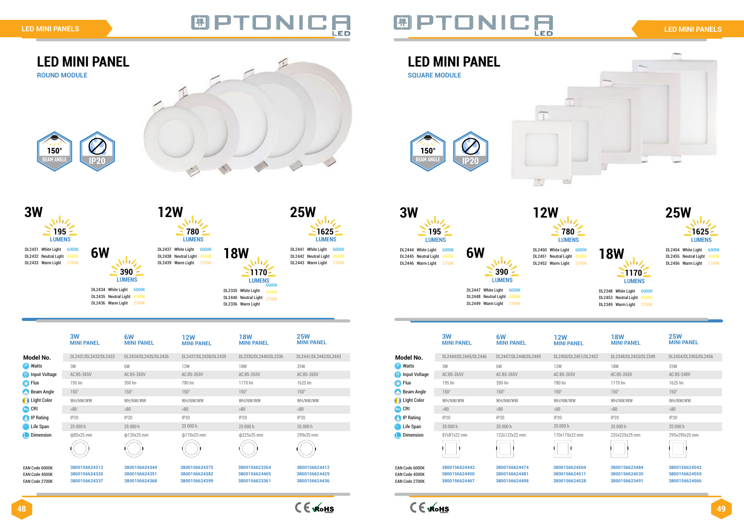### **LED MINI PANELS**

EAN Code 2700K



**3800156624368**

**3800156624399**

**3800156624436**

DL2442 Neutral Light 4500K DL2443 Warm Light 2700K DL2441 White Light 6000K

|                                         | 3W<br><b>MINI PANEL</b>        | 6W<br><b>MINI PANEL</b>        | <b>12W</b><br><b>MINI PANEL</b> | 18W<br><b>MINI PANEL</b>       | <b>25W</b><br><b>MINI PANEL</b> |
|-----------------------------------------|--------------------------------|--------------------------------|---------------------------------|--------------------------------|---------------------------------|
| Model No.                               | DL2431/DL2432/DL2433           | DL2434/DL2435/DL2436           | DL2437/DL2438/DL2439            | DL2335/DL2440/DL2336           | DL2441/DL2442/DL2443            |
| Watts<br>$\left  \mathsf{P} \right $    | 3W                             | 6W                             | <b>12W</b>                      | <b>18W</b>                     | <b>25W</b>                      |
| Input Voltage                           | AC:85-265V                     | AC:85-265V                     | AC:85-265V                      | AC:85-265V                     | AC:85-265V                      |
| Flux<br>O                               | $195 \, \text{Im}$             | 390 lm                         | 780 lm                          | 1170 lm                        | 1625 lm                         |
| Beam Angle                              | $150^\circ$                    | $150^\circ$                    | $150^\circ$                     | $150^\circ$                    | $150^\circ$                     |
| <b>Light Color</b>                      | WH/NW/WW                       | WH/NW/WW                       | WH/NW/WW                        | WH/NW/WW                       | WH/NW/WW                        |
| CRI<br>$\left( \mathbf{Ra}\right)$      | >80                            | >80                            | >80                             | >80                            | >80                             |
| <b>IP Rating</b>                        | <b>IP20</b>                    | <b>IP20</b>                    | IP20                            | IP <sub>20</sub>               | <b>IP20</b>                     |
| Life Span                               | 25 000 h                       | 25 000 h                       | 25 000 h                        | 25 000 h                       | 25 000 h                        |
| <b>Dimension</b>                        | ф85х25 mm                      | ф120х25 mm                     | ф170x25 mm                      | ф225x25 mm                     | 299x25 mm                       |
|                                         |                                |                                |                                 |                                |                                 |
| EAN Code 6000K<br><b>EAN Code 4500K</b> | 3800156624313<br>3800156624320 | 3800156624344<br>3800156624351 | 3800156624375<br>3800156624382  | 3800156623354<br>3800156624405 | 3800156624412<br>3800156624429  |

DL2445 Neutral Light 4500K DL2446 Warm Light 2700K DL2444 White Light 6000K

DL2448 Neutral Light 4500K DL2449 Warm Light 2700K DL2447 White Light 6000K

DL2432 Neutral Light 4500K DL2433 Warm Light 2700K

DL2431 White Light 6000K

**6W 11/2** 

DL2451 Neutral Light 4500K DL2452 Warm Light 2700K DL2450 White Light 6000K

**3W**



イ



**LUMENS 195**

WIZ

DL2453 Neutral Light 4500K DL2349 Warm Light 2700K DL2348 White Light 6000K

DL2435 Neutral Light 4500K DL2436 Warm Light 2700K

DL2434 White Light 6000K

DL2455 Neutral Light 4500K DL2456 Warm Light 2700K DL2454 White Light 6000K

**6W**

**LUMENS 390**

 $N_{\rm BZ}$ 

DL2438 Neutral Light 4500K DL2439 Warm Light 2700K

DL2437 White Light 6000K

**12W**



**LUMENS 780**

> DL2440 Neutral Light DL2336 Warm Light

4500K 2700K

DL2335 White Light

6000K

**18W**

**LUMENS 1170**



**3800156623361**

**LED MINI PANEL**

**ROUND MODULE**

BEAM ANGLE 150°

**IP20**



### **LED MINI PANELS**

**3W**  $\mathcal{N}_{\mathcal{N}}$ **195 LUMENS**

**LUMENS**







## **LED MINI PANEL**

**SQUARE MODULE**





Ħ,

| DLZ454/DLZ455/DLZ456 |
|----------------------|
| 25W                  |
| AC:85-240V           |
| 1625 lm              |
| $150^\circ$          |
| WH/NW/WW             |
| >80                  |
| <b>IP20</b>          |
| 25 000 h             |
| 295x295x25 mm        |
|                      |

| DL2447/DL2448/DL2449 | DL2450/DL2451/DL2452 | DL2348/DL2453/DL2349 | DL2454/DL2455/DL2456 |
|----------------------|----------------------|----------------------|----------------------|
| 6W                   | 12W                  | <b>18W</b>           | 25W                  |
| AC:85-265V           | AC:85-265V           | AC:85-265V           | AC:85-240V           |
| 390 lm               | 780 lm               | 1170 lm              | 1625 lm              |
| $150^\circ$          | $150^\circ$          | $150^\circ$          | $150^\circ$          |
| WH/NW/WW             | WH/NW/WW             | WH/NW/WW             | WH/NW/WW             |
| >80                  | >80                  | >80                  | >80                  |
| <b>IP20</b>          | IP20                 | IP20                 | IP20                 |
| 25 000 h             | 25 000 h             | 25 000 h             | 25 000 h             |
| 122x122x22 mm        | 170x170x22 mm        | 225x225x25 mm        | 295x295x25 mm        |
|                      |                      |                      |                      |



|                    | 3W<br><b>MINI PANEL</b> | 6W<br><b>MINI PANEL</b> |
|--------------------|-------------------------|-------------------------|
| Model No.          | DL2444/DL2445/DL2446    | DL2447/DL2448/DL2449    |
| Watts              | 3W                      | 6W                      |
| Input Voltage      | AC:85-265V              | AC:85-265V              |
| Flux               | 195 lm                  | 390 lm                  |
| <b>Beam Angle</b>  | $150^\circ$             | $150^\circ$             |
| <b>Light Color</b> | WH/NW/WW                | WH/NW/WW                |
| <b>CRI</b><br>(Ra) | >80                     | >80                     |
| <b>IP Rating</b>   | <b>IP20</b>             | IP20                    |
| Life Span          | 25 000 h                | 25 000 h                |
| <b>Dimension</b>   | 87x87x22 mm             | 122x122x22 mm           |
|                    |                         |                         |
| EAN Code 6000K     | 3800156624443           | 3800156624474           |
| EAN Code 4500K     | 3800156624450           | 3800156624481           |
| EAN Code 2700K     | 3800156624467           | 3800156624498           |

CE VOHS

**3800156624528 3800156624511 3800156624504**

**3800156624566 3800156624559 3800156624542**

### **12W MINI PANEL**

### **18W MINI PANEL**

### **25W MINI PANEL**

| DL2450/DL2451/DL2452 |
|----------------------|
| 12W                  |
| AC:85-265V           |
| 780 lm               |
| $150^\circ$          |
| WH/NW/WW             |
| >80                  |
| <b>IP20</b>          |
| 25 000 h             |
| 170x170x22 mm        |
|                      |

**3800156623491 3800156624535 3800156623484**



150° **IP20**

**49**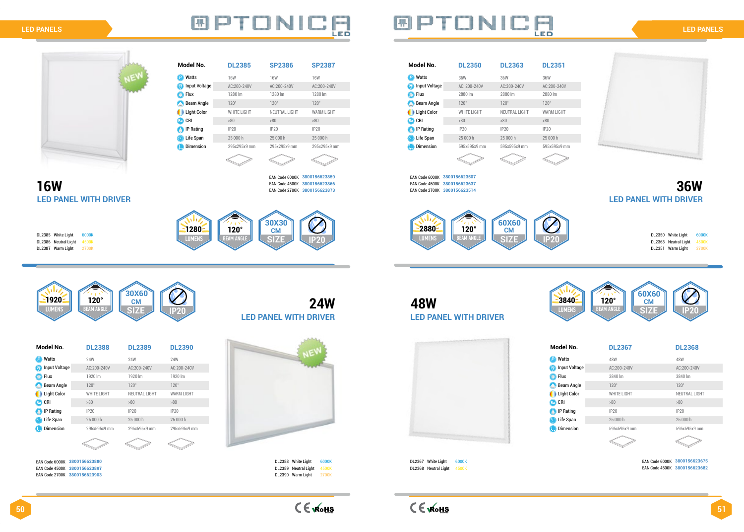**LUMEN** 1920

### **LED PANELS**

# BPTONICE



**LED PANEL WITH DRIVER**

| Model No.          | <b>DL2388</b>      | <b>DL2389</b>        | <b>DL2390</b>     |
|--------------------|--------------------|----------------------|-------------------|
| Watts              | 24W                | <b>24W</b>           | <b>24W</b>        |
| Input Voltage      | AC:200-240V        | AC:200-240V          | AC:200-240V       |
| Flux               | 1920 lm            | 1920 lm              | 1920 lm           |
| <b>Beam Angle</b>  | $120^\circ$        | $120^\circ$          | $120^\circ$       |
| <b>Light Color</b> | <b>WHITE LIGHT</b> | <b>NEUTRAL LIGHT</b> | <b>WARM LIGHT</b> |
| <b>CRI</b><br>(Ra) | >80                | >80                  | >80               |
| <b>IP Rating</b>   | IP20               | IP20                 | IP20              |
| Life Span          | 25 000 h           | 25 000 h             | 25 000 h          |
| <b>Dimension</b>   | 295x595x9 mm       | 295x595x9 mm         | 295x595x9 mm      |
|                    |                    |                      |                   |

EAN Code 4500K **3800156623897** EAN Code 2700K **3800156623903** EAN Code 6000K **3800156623880**





 $:200 - 240V$ 2880 lm 120°

**RM LIGHT** 

 $20 -$ 000 h 5x595x9 mm





| Model No.                                                  | <b>DL2385</b>      | <b>SP2386</b> | <b>SP2387</b>     |
|------------------------------------------------------------|--------------------|---------------|-------------------|
| Watts<br>$\mathsf{P}$                                      | <b>16W</b>         | <b>16W</b>    | <b>16W</b>        |
| <b>Input Voltage</b><br>(47                                | AC:200-240V        | AC:200-240V   | AC:200-240V       |
| Flux<br>$\bm{\odot}$                                       | 1280 lm            | 1280 lm       | 1280 lm           |
| <b>Beam Angle</b><br>$\left(\boldsymbol{\triangle}\right)$ | $120^\circ$        | $120^\circ$   | $120^\circ$       |
| <b>Light Color</b>                                         | <b>WHITE LIGHT</b> | NEUTRAL LIGHT | <b>WARM LIGHT</b> |
| <b>CRI</b><br>(Ra)                                         | >80                | >80           | >80               |
| <b>IP Rating</b><br>$\circ$                                | <b>IP20</b>        | IP20          | IP20              |
| Life Span                                                  | 25 000 h           | 25 000 h      | 25 000 h          |
| <b>Dimension</b>                                           | 295x295x9 mm       | 295x295x9 mm  | 295x295x9 mm      |
|                                                            |                    | 率             | 率                 |







EAN Code 4500K **3800156623866** EAN Code 2700K **3800156623873** EAN Code 6000K **3800156623859**

DL2386 Neutral Light 4500K DL2387 Warm Light 2700K

DL2385 White Light 6000K



DL2389 Neutral Light 4500K DL2390 Warm Light 2700K

DL2388 White Light 6000K

CEVROHS

**24W**

**LED PANEL WITH DRIVER**



| Model No.          | <b>DL2350</b>      | <b>DL2363</b> | <b>DL2351</b>     |
|--------------------|--------------------|---------------|-------------------|
| Watts              | 36W                | 36W           | 36W               |
| Input Voltage      | AC: 200-240V       | AC:200-240V   | AC:200-240\       |
| Flux               | 2880 lm            | 2880 lm       | 2880 lm           |
| <b>Beam Angle</b>  | $120^\circ$        | $120^\circ$   | $120^\circ$       |
| <b>Light Color</b> | <b>WHITE LIGHT</b> | NEUTRAL LIGHT | <b>WARM LIGHT</b> |
| <b>CRI</b><br>(Ra) | >80                | >80           | >80               |
| <b>IP Rating</b>   | <b>IP20</b>        | IP20          | IP20              |
| Life Span          | 25 000 h           | 25 000 h      | 25 000 h          |
| <b>Dimension</b>   | 595x595x9 mm       | 595x595x9 mm  | 595x595x9 n       |
|                    |                    |               |                   |



EAN Code 4500K **3800156623682** EAN Code 6000K **3800156623675**



### **Model No. DL2367 DL2368**

| Watts              | 48W                | 48W           |
|--------------------|--------------------|---------------|
| Input Voltage<br>方 | AC:200-240V        | AC:200-240V   |
| Flux               | 3840 lm            | 3840 lm       |
| <b>Beam Angle</b>  | $120^\circ$        | $120^\circ$   |
| <b>Light Color</b> | <b>WHITE LIGHT</b> | NEUTRAL LIGHT |
| Ra CRI             | >80                | >80           |
| <b>IP Rating</b>   | IP20               | IP20          |
| Life Span          | 25 000 h           | 25 000 h      |
| Dimension          | 595x595x9 mm       | 595x595x9 mm  |
|                    |                    |               |



EAN Code 4500K **3800156623637** EAN Code 2700K **3800156623514** EAN Code 6000K **3800156623507**

| DL2350 | <b>White Light</b>   | 6000K |
|--------|----------------------|-------|
| DL2363 | <b>Neutral Light</b> | 4500K |
| DL2351 | <b>Warm Light</b>    | 2700K |

## **36W LED PANEL WITH DRIVER**

**LED PANEL WITH DRIVER**



DL2368 Neutral Light 4500K



DL2367 White Light 6000K

CEVROHS